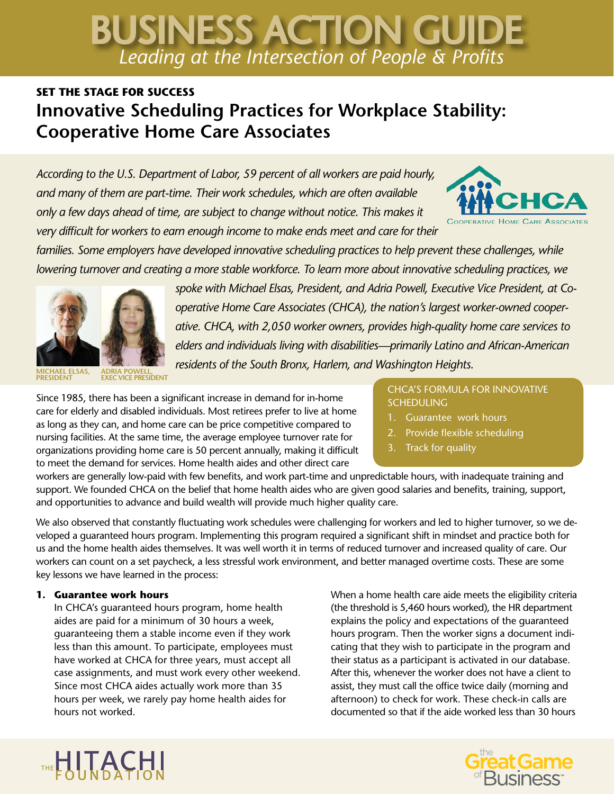# *Leading at the Intersection of People & Profits* BUSINESS ACTION GUIDE

# **SET THE STAGE FOR SUCCESS Innovative Scheduling Practices for Workplace Stability: Cooperative Home Care Associates**

*According to the U.S. Department of Labor, 59 percent of all workers are paid hourly, and many of them are part-time. Their work schedules, which are often available only a few days ahead of time, are subject to change without notice. This makes it very difficult for workers to earn enough income to make ends meet and care for their* 



families. Some employers have developed innovative scheduling practices to help prevent these challenges, while *lowering turnover and creating a more stable workforce. To learn more about innovative scheduling practices, we* 

*residents of the South Bronx, Harlem, and Washington Heights.*

*spoke with Michael Elsas, President, and Adria Powell, Executive Vice President, at Cooperative Home Care Associates (CHCA), the nation's largest worker-owned cooperative. CHCA, with 2,050 worker owners, provides high-quality home care services to elders and individuals living with disabilities—primarily Latino and African-American* 



**MICHAEL ELSAS, PRESIDENT ADRIA POWELL, EXEC VICE PRESIDENT** 

Since 1985, there has been a significant increase in demand for in-home care for elderly and disabled individuals. Most retirees prefer to live at home as long as they can, and home care can be price competitive compared to nursing facilities. At the same time, the average employee turnover rate for organizations providing home care is 50 percent annually, making it difficult to meet the demand for services. Home health aides and other direct care

### CHCA'S FORMULA FOR INNOVATIVE **SCHEDULING**

- 1. Guarantee work hours
- 2. Provide flexible scheduling
- 3. Track for quality

workers are generally low-paid with few benefits, and work part-time and unpredictable hours, with inadequate training and support. We founded CHCA on the belief that home health aides who are given good salaries and benefits, training, support, and opportunities to advance and build wealth will provide much higher quality care.

We also observed that constantly fluctuating work schedules were challenging for workers and led to higher turnover, so we developed a guaranteed hours program. Implementing this program required a significant shift in mindset and practice both for us and the home health aides themselves. It was well worth it in terms of reduced turnover and increased quality of care. Our workers can count on a set paycheck, a less stressful work environment, and better managed overtime costs. These are some key lessons we have learned in the process:

## **1. Guarantee work hours**

In CHCA's guaranteed hours program, home health aides are paid for a minimum of 30 hours a week, guaranteeing them a stable income even if they work less than this amount. To participate, employees must have worked at CHCA for three years, must accept all case assignments, and must work every other weekend. Since most CHCA aides actually work more than 35 hours per week, we rarely pay home health aides for hours not worked.

When a home health care aide meets the eligibility criteria (the threshold is 5,460 hours worked), the HR department explains the policy and expectations of the guaranteed hours program. Then the worker signs a document indicating that they wish to participate in the program and their status as a participant is activated in our database. After this, whenever the worker does not have a client to assist, they must call the office twice daily (morning and afternoon) to check for work. These check-in calls are documented so that if the aide worked less than 30 hours